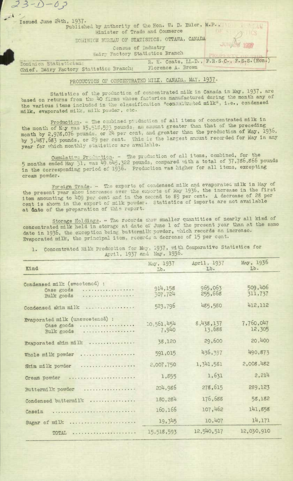$23 - 0 -$ Issued June 214th, 1937. Published by Authority of the Hon. W. D. Euler, M.P. Minister of Trade and Commerce

## Census of Industry

| MINTSPOT OT TTOMA ONE OPEN OF                                                          |                                             |
|----------------------------------------------------------------------------------------|---------------------------------------------|
| DOMINICN BUREAU OF STATISTICS, OTTAWA, CANADA                                          |                                             |
| Census of Industry<br><b>Teiry Factory Statistics Branch</b>                           |                                             |
| Dominion Statistician:<br>Florence A. Brown<br>Chief, Dairy Factory Statistics Branch: | R. E. Coats, LL.D., F.R.S.C., F.S.S. (Hon.) |

## PRODUCTION OF CONCENTRATED MILK, CANADA, MAY, 1937.

Statistics of the production of concentrated milk in Canada in May, 1937, are based on returns from thc 40 firms whose factories manufactured during the month any of the various items included in the classification **"conducted milk"**, i.e., condensed **milk, evaporated milk milk** powder, etc.

Production. - The combined ptoduction of all items of concentrated milk in the month of  $M_y$  was  $15,513,593$  pounds; an amount greater than that of the preceding month by 2,978,076 pounds, or 24 per cent, and greater than the production of May, 1936, by 3,487,683 pounds, or 29 per cent. This is the largest amount recorded for May in any year for which monthly statistics are available.

Cumulative Production. - The production of all items, combined, for the  $5$  months ended May  $51$ , was  $49.645$ ,  $322$  pounds, compared with a total of 37,786,866 pounds in the corresponding period of 1936. Production was higher for all items, excepting cream powder.

For eign Trade. - The exports of condensed milk and evaporated milk in May of the present year show increases over the exports of May 1936, the increase in the first **item** smounting to 1409 per cent and- in the second to \$9 per cent. A decrease of 28 per cent is shown in the export of milk powder. Statistics of imports are not available at date of the preparation of this report.

Storage Holdings. - The records show smaller quantities of nearly all kind of concentrated milk held in storage at date of June 1 of the present year than at the same date in 1936, the exception being buttermilk powder, which records an increase. Evaporated milk, the principal item, records a decrease of 15 per cent.

1. Concentrated Milk Production for May, 1937, with Comparative Statistics for April, 1937 and May, 1936.

| Kind                                                                      | May, 1937<br>Lb.    | April, 1937<br>Lb.  | May, 1936<br>Lb.    |
|---------------------------------------------------------------------------|---------------------|---------------------|---------------------|
| Condensed milk (sweetened) :<br>.<br>Case goods<br>Bulk goods             | 914,158<br>307,724  | 965,063<br>255,668  | 509,406<br>311,737  |
| Condensed skim milk                                                       | 523,796             | 485,580             | 412,112             |
| Evaporated milk (unsweetened) :<br>Case goods<br>. <b>.</b><br>Bulk goods | 10,561,454<br>7,940 | 8,438,137<br>13,688 | 7,760,047<br>12,305 |
| Evaporated skim milk                                                      | 38,120              | 29,600              | 20,400              |
| Whole milk powder                                                         | 591,015             | 436,397             | 490,873             |
| Skim milk powder<br>. <i>. .</i>                                          | 2,007,750           | 1,341,581           | 2,008,482           |
| Cream powder                                                              | 1,855               | 1,631               | 2,214               |
| Buttermilk powder                                                         | 204,986             | 278,615             | 289,123             |
| Condensed buttermilk                                                      | 180,284             | 176,688             | 58,182              |
| Casein                                                                    | 160,166             | 107,462             | 141,858             |
| Sugar of milk                                                             | 19, 345             | 10,407              | 14,171              |
| TOTAL                                                                     | 15,518,593          | 12,540,517          | 12,030,910          |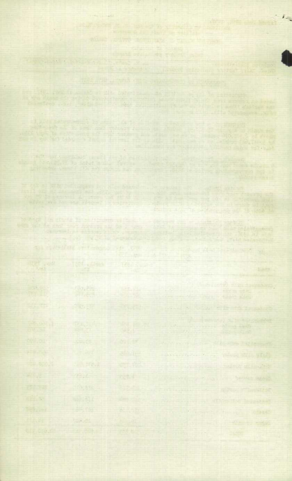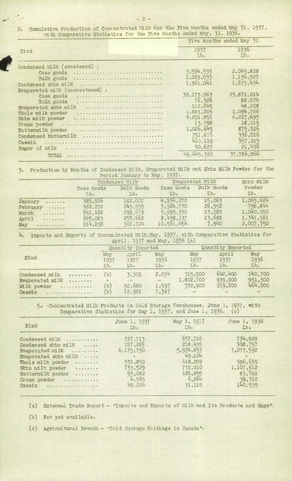| Five Months ended May 31 |             |  |
|--------------------------|-------------|--|
| 1937                     | 1936        |  |
| Lb.                      | Lb.         |  |
| 3,594,593                | 2,045,828   |  |
| 1,289,033                | 1,134,927   |  |
| 1,961,041                | 1, 673, 434 |  |
| 32,173,963               | 23,871,014  |  |
| 76,326                   | 82,674      |  |
| 112,245                  | 48,208      |  |
| 1,883,205                | 1,094,766   |  |
| 6,251,851                | 6,227,695   |  |
| 13,798                   | 18,119      |  |
| 1,026,645                | 875,526     |  |
| 751,876                  | 336,016     |  |
| 460,119                  | 357,223     |  |
|                          | 21,436      |  |
|                          | 50,627      |  |

2. Cumulative Production of Concentrated Hilk for the Five Months ended May 31, 1937, uith Comparative Statistics for the Five Months ended May, 31, 1936.

3. Production by Months of Condensed Milk, Evaporated Milk and Skim Milk Powder for the Period January to May, 1937-

TOTAL .................................

149,645,322 37,786,866

|          | Condensed Milk |            |             | Evaporated Milk |             |  |
|----------|----------------|------------|-------------|-----------------|-------------|--|
|          | Case Goods     | Bulk Goods | Case Goods  | Bulk Goods      | Powder      |  |
|          | Lb.            | Lb.        | $Lb$ .      | Lb.             | Lb.         |  |
| January  | 385,926        | 182,007    | 4, 154, 272 | 15,063          | 1,065,624   |  |
| February | 388,278        | 243,955    | 3,924,770   | 26,352          | 796.844     |  |
| March    | 941,168        | 299,679    | 5,095,330   | 13,283          | 1,040,052   |  |
| April    | 965,063        | 255,668    | 8,438,137   | 13,688          | 1, 341, 581 |  |
| May      | 914, 158       | 307,724    | 10,561,454  | 7,940           | 2,007,750   |  |

4. Imports and Exports of Concentrated Milk, May, 1937, with Comparative Statistics for April, 1937 and May, 1936 (a)

|                                                                 | Quantity Imported  |                                  |                                                                                                                                                                                                                                                                                                                                                                                                                                                                                                       | Quantity Exported               |                               |                               |
|-----------------------------------------------------------------|--------------------|----------------------------------|-------------------------------------------------------------------------------------------------------------------------------------------------------------------------------------------------------------------------------------------------------------------------------------------------------------------------------------------------------------------------------------------------------------------------------------------------------------------------------------------------------|---------------------------------|-------------------------------|-------------------------------|
| Kind                                                            | May<br>1937<br>Lb. | April<br>1937<br>Lb <sub>o</sub> | May<br>1936<br>Lb <sub>e</sub>                                                                                                                                                                                                                                                                                                                                                                                                                                                                        | May<br>1937<br>Lb.              | April<br>1937<br>Lb.          | May<br>1936<br>Lb.            |
| .<br>Condensed milk<br>Evaporated milk<br>Milk powder<br>Casein | (b)<br>(b)<br>(b)  | 3,309<br>92,680<br>12,981        | 2,034<br>$\frac{1}{2} \left( \frac{1}{2} \right) \left( \frac{1}{2} \right) \left( \frac{1}{2} \right) \left( \frac{1}{2} \right) \left( \frac{1}{2} \right) \left( \frac{1}{2} \right) \left( \frac{1}{2} \right) \left( \frac{1}{2} \right) \left( \frac{1}{2} \right) \left( \frac{1}{2} \right) \left( \frac{1}{2} \right) \left( \frac{1}{2} \right) \left( \frac{1}{2} \right) \left( \frac{1}{2} \right) \left( \frac{1}{2} \right) \left( \frac{1}{2} \right) \left( \frac$<br>1,597<br>7,387 | 715,500<br>1,802,700<br>332,900 | 642,400<br>939,900<br>219,200 | 140,700<br>951,500<br>464,200 |

5. -Concentrated Milk Products in Cold Storage Warehouses, June 1, 1937, with Comparative Statistics for May 1, 1937, and June 1, 1936. (c)

| Kind                                                                                                                                                                       | June 1, 1937<br>Lb <sub>e</sub>                                                                                                                                                                                                                                                                                                                                                                                                                                                                                                                                  | May 1, 1937<br>Lb.                                                                            | June 1, 1936<br>Lb.                                                                    |
|----------------------------------------------------------------------------------------------------------------------------------------------------------------------------|------------------------------------------------------------------------------------------------------------------------------------------------------------------------------------------------------------------------------------------------------------------------------------------------------------------------------------------------------------------------------------------------------------------------------------------------------------------------------------------------------------------------------------------------------------------|-----------------------------------------------------------------------------------------------|----------------------------------------------------------------------------------------|
| Condensed milk<br>Condensed skim milk<br>Evaporated $milk$<br>Evaporated skim milk<br>Whole milk powder<br>Skim milk powder<br>Buttermilk powder<br>Cream powder<br>Casein | 727,713<br>157,265<br>6,175,750<br>$\frac{1}{2} \left( \frac{1}{2} \right) \left( \frac{1}{2} \right) \left( \frac{1}{2} \right) \left( \frac{1}{2} \right) \left( \frac{1}{2} \right) \left( \frac{1}{2} \right) \left( \frac{1}{2} \right) \left( \frac{1}{2} \right) \left( \frac{1}{2} \right) \left( \frac{1}{2} \right) \left( \frac{1}{2} \right) \left( \frac{1}{2} \right) \left( \frac{1}{2} \right) \left( \frac{1}{2} \right) \left( \frac{1}{2} \right) \left( \frac{1}{2} \right) \left( \frac$<br>531,850<br>733,529<br>95,082<br>4,565<br>49,024 | 657,710<br>218,435<br>5,974,653<br>49,124<br>418.209<br>772,010<br>126,855<br>6,864<br>31,115 | 734,929<br>308,757<br>7,277,592<br>596,655<br>1,107,612<br>83,591<br>39,310<br>140.535 |
|                                                                                                                                                                            |                                                                                                                                                                                                                                                                                                                                                                                                                                                                                                                                                                  |                                                                                               |                                                                                        |

External Trade Report - **"Imports** and Exports of Milk and Its Products and Eggs".

(b) Not yet available.

Agricultural Branch - "Cold. Storage Holdings in Canada".

-2-